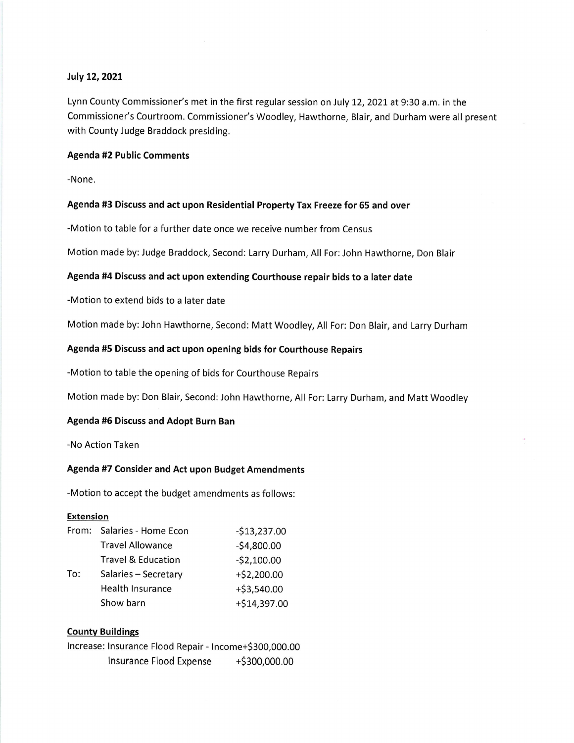## July 12, 2021

Lynn County Commissioner's met in the first regular session on July 12, 2021 at 9:30 a.m. in the Commissioner's Courtroom. Commissioner's Woodley, Hawthorne, Blair, and Durham were all present with County Judge Braddock presiding.

# Agenda #2 Public Comments

-None.

### Agenda #3 Discuss and act upon Residential PropertyTax Freeze for 65 and over

-Motion to table for a further date once we receive number from Census

Motion made by:Judge Braddock, Second: Larry Durham, All For: John Hawthorne, Don Blair

# Agenda #4 Discuss and act upon extending Courthouse repair bids to a later date

-Motion to extend bids to a later date

Motion made by: John Hawthorne, Second: Matt Woodley, All For: Don Blair, and Larry Durham

# Agenda #5 Discuss and act upon opening bids for Courthouse Repairs

-Motion to table the opening of bids for Courthouse Repairs

Motion made by: Don Blair, Second: John Hawthorne, All For: Larry Durham, and Matt Woodley

# Agenda #5 Discuss and Adopt Burn Ban

-No Action Taken

### Agenda #7 Consider and Act upon Budget Amendments

-Motion to accept the budget amendments as follows:

#### **Extension**

| From: | Salaries - Home Econ          | $-$13,237.00$ |
|-------|-------------------------------|---------------|
| To:   | <b>Travel Allowance</b>       | $-$4,800.00$  |
|       | <b>Travel &amp; Education</b> | $-52,100.00$  |
|       | Salaries - Secretary          | $+ $2,200.00$ |
|       | Health Insurance              | $+ $3,540.00$ |
|       | Show barn                     | +\$14,397.00  |

### Countv Buildinss

|                         | Increase: Insurance Flood Repair - Income+\$300,000.00 |  |  |               |
|-------------------------|--------------------------------------------------------|--|--|---------------|
| Insurance Flood Expense |                                                        |  |  | +\$300,000.00 |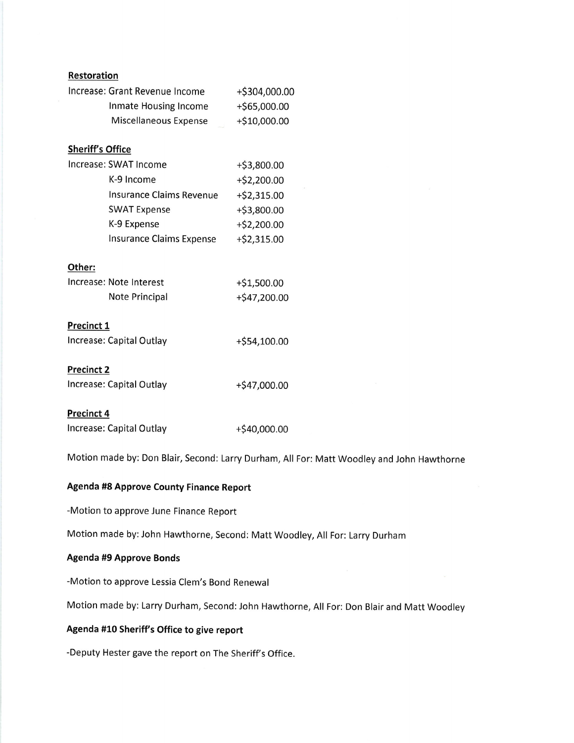| <b>Restoration</b>              |                |  |  |  |  |
|---------------------------------|----------------|--|--|--|--|
| Increase: Grant Revenue Income  | +\$304,000.00  |  |  |  |  |
| Inmate Housing Income           | +\$65,000.00   |  |  |  |  |
| Miscellaneous Expense           | +\$10,000.00   |  |  |  |  |
|                                 |                |  |  |  |  |
| <b>Sheriff's Office</b>         |                |  |  |  |  |
| Increase: SWAT Income           | $+$ \$3,800.00 |  |  |  |  |
| K-9 Income                      | $+$ \$2,200.00 |  |  |  |  |
| <b>Insurance Claims Revenue</b> | +\$2,315.00    |  |  |  |  |
| <b>SWAT Expense</b>             | +\$3,800.00    |  |  |  |  |
| K-9 Expense                     | $+$ \$2,200.00 |  |  |  |  |
| <b>Insurance Claims Expense</b> | $+ $2,315.00$  |  |  |  |  |
|                                 |                |  |  |  |  |
| Other:                          |                |  |  |  |  |
| Increase: Note Interest         | +\$1,500.00    |  |  |  |  |
| Note Principal                  | $+$47,200.00$  |  |  |  |  |
|                                 |                |  |  |  |  |
| <b>Precinct 1</b>               |                |  |  |  |  |
| Increase: Capital Outlay        | $+ $54,100.00$ |  |  |  |  |
| <b>Precinct 2</b>               |                |  |  |  |  |
|                                 |                |  |  |  |  |
| Increase: Capital Outlay        | +\$47,000.00   |  |  |  |  |
| <b>Precinct 4</b>               |                |  |  |  |  |
| Increase: Capital Outlay        | +\$40,000.00   |  |  |  |  |

Motion made by: Don Blair, Second: Larry Durham, All For: Matt Woodley and John Hawthorne

# Agenda #8 Approve County Finance Report

-Motion to approve June Finance Report

Motion made by: John Hawthorne, Second: Matt Woodley, All For: Larry Durham

# Agenda #9 Approve Bonds

-Motion to approve Lessia Clem's Bond Renewal

Motion made by: Larry Durham, Second: John Hawthorne, All For: Don Blair and Matt Woodley

## Agenda #10 Sheriff's Office to give report

-Deputy Hester gave the report on The Sheriff's Office.